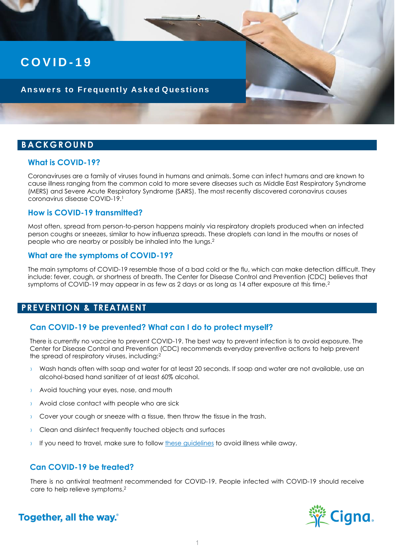# **C O V I D - 1 9**

#### **An s w e r s to Frequently As k e d Questions**

## **B A C K G R O U N D**

#### **What is COVID-19?**

Coronaviruses are a family of viruses found in humans and animals. Some can infect humans and are known to cause illness ranging from the common cold to more severe diseases such as Middle East Respiratory Syndrome (MERS) and Severe Acute Respiratory Syndrome (SARS). The most recently discovered coronavirus causes coronavirus disease COVID-19.<sup>1</sup>

#### **How is COVID-19 transmitted?**

Most often, spread from person-to-person happens mainly via respiratory droplets produced when an infected person coughs or sneezes, similar to how influenza spreads. These droplets can land in the mouths or noses of people who are nearby or possibly be inhaled into the lungs.<sup>2</sup>

#### **What are the symptoms of COVID-19?**

The main symptoms of COVID-19 resemble those of a bad cold or the flu, which can make detection difficult. They include: fever, cough, or shortness of breath. The Center for Disease Control and Prevention (CDC) believes that symptoms of COVID-19 may appear in as few as 2 days or as long as 14 after exposure at this time. $2$ 

### **PREVENTION & TREATMENT**

#### **Can COVID-19 be prevented? What can I do to protect myself?**

There is currently no vaccine to prevent COVID-19. The best way to prevent infection is to avoid exposure. The Center for Disease Control and Prevention (CDC) recommends everyday preventive actions to help prevent the spread of respiratory viruses, including:<sup>2</sup>

- <sup>3</sup> Wash hands often with soap and water for at least 20 seconds. If soap and water are not available, use an alcohol-based hand sanitizer of at least 60% alcohol.
- › Avoid touching your eyes, nose, and mouth
- › Avoid close contact with people who are sick
- › Cover your cough or sneeze with a tissue, then throw the tissue in the trash.
- › Clean and disinfect frequently touched objects and surfaces
- If you need to travel, make sure to follow these [guidelines](https://www.who.int/ith/2020-0901_outbreak_of_Pneumonia_caused_by_a_new_coronavirus_in_C/en/) to avoid illness while away.

#### **Can COVID-19 be treated?**

There is no antiviral treatment recommended for COVID-19. People infected with COVID-19 should receive care to help relieve symptoms. 2



Together, all the way.<sup>®</sup>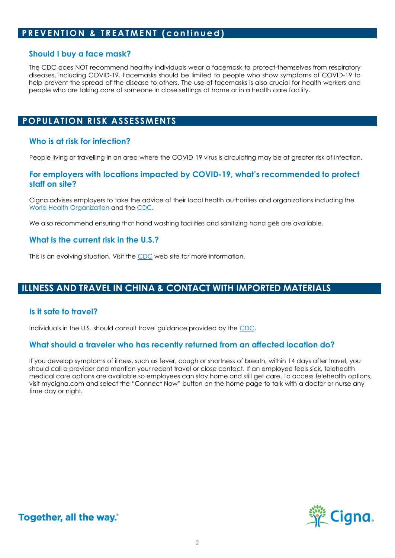## **PREVENTION & TREATMENT (continued)**

#### **Should I buy a face mask?**

The CDC does NOT recommend healthy individuals wear a facemask to protect themselves from respiratory diseases, including COVID-19. Facemasks should be limited to people who show symptoms of COVID-19 to help prevent the spread of the disease to others. The use of facemasks is also crucial for health workers and people who are taking care of someone in close settings at home or in a health care facility.

## **POPULATION RISK ASSESSMENTS**

#### **Who is at risk for infection?**

People living or travelling in an area where the COVID-19 virus is circulating may be at greater risk of infection.

#### **For employers with locations impacted by COVID-19, what's recommended to protect staff on site?**

Cigna advises employers to take the advice of their local health authorities and organizations including the [World Health Organization](https://www.who.int/emergencies/diseases/novel-coronavirus-2019) and the [CDC](https://www.who.int/emergencies/diseases/novel-coronavirus-2019).

We also recommend ensuring that hand washing facilities and sanitizing hand gels are available.

#### **What is the current risk in the U.S.?**

This is an evolving situation. Visit the [CDC](https://www.cdc.gov/coronavirus/2019-ncov/index.html) web site for more information.

## **ILLNESS AND TRAVEL IN CHINA & CONTACT WITH IMPORTED MATERIALS**

#### **Is it safe to travel?**

Individuals in the U.S. should consult travel guidance provided by the [CDC](Is it safe to travel?).

#### **What should a traveler who has recently returned from an affected location do?**

If you develop symptoms of illness, such as fever, cough or shortness of breath, within 14 days after travel, you should call a provider and mention your recent travel or close contact. If an employee feels sick, telehealth medical care options are available so employees can stay home and still get care. To access telehealth options, visit mycigna.com and select the "Connect Now" button on the home page to talk with a doctor or nurse any time day or night.

## Together, all the way.